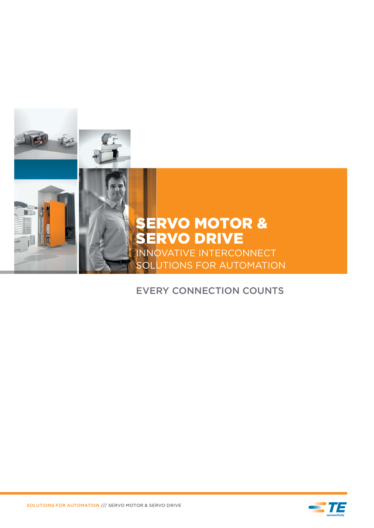

#### EVERY CONNECTION COUNTS

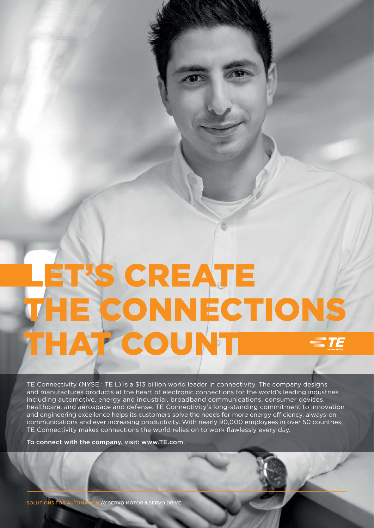# LET'S CREATE THE CONNECTIONS THAT COUNT

TE Connectivity (NYSE : TE L) is a \$13 billion world leader in connectivity. The company designs and manufactures products at the heart of electronic connections for the world's leading industries including automotive, energy and industrial, broadband communications, consumer devices, healthcare, and aerospace and defense. TE Connectivity's long-standing commitment to innovation and engineering excellence helps its customers solve the needs for more energy efficiency, always-on communications and ever increasing productivity. With nearly 90,000 employees in over 50 countries, TE Connectivity makes connections the world relies on to work flawlessly every day.

To connect with the company, visit: www.TE.com.

SOLUTIONS FOR AUTOMATION /// SERVO MOTOR & SERVO DRIVE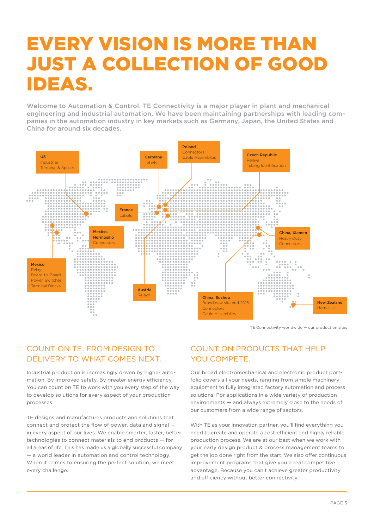## EVERY VISION IS MORE THAN JUST A COLLECTION OF GOOD IDEAS.

Welcome to Automation & Control. TE Connectivity is a major player in plant and mechanical engineering and industrial automation. We have been maintaining partnerships with leading companies in the automation industry in key markets such as Germany, Japan, the United States and China for around six decades.



TE Connectivity worldwide — our production sites

#### COUNT ON TE. FROM DESIGN TO DELIVERY TO WHAT COMES NEXT.

Industrial production is increasingly driven by higher automation. By improved safety. By greater energy efficiency. You can count on TE to work with you every step of the way to develop solutions for every aspect of your production processes.

TE designs and manufactures products and solutions that connect and protect the flow of power, data and signal in every aspect of our lives. We enable smarter, faster, better technologies to connect materials to end products — for all areas of life. This has made us a globally successful company - a world leader in automation and control technology. When it comes to ensuring the perfect solution, we meet every challenge.

#### COUNT ON PRODUCTS THAT HELP YOU COMPETE.

Our broad electromechanical and electronic product portfolio covers all your needs, ranging from simple machinery equipment to fully integrated factory automation and process solutions. For applications in a wide variety of production environments — and always extremely close to the needs of our customers from a wide range of sectors.

With TE as your innovation partner, you'll find everything you need to create and operate a cost-efficient and highly reliable production process. We are at our best when we work with your early design product & process management teams to get the job done right from the start. We also offer continuous improvement programs that give you a real competitive advantage. Because you can't achieve greater productivity and efficiency without better connectivity.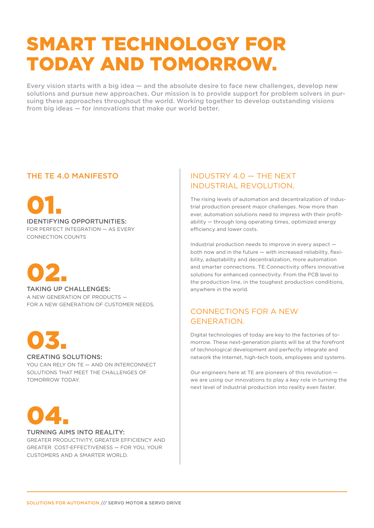## SMART TECHNOLOGY FOR TODAY AND TOMORROW.

Every vision starts with a big idea — and the absolute desire to face new challenges, develop new solutions and pursue new approaches. Our mission is to provide support for problem solvers in pursuing these approaches throughout the world. Working together to develop outstanding visions from big ideas — for innovations that make our world better.

01. IDENTIFYING OPPORTUNITIES: FOR PERFECT INTEGRATION — AS EVERY CONNECTION COUNTS



TAKING UP CHALL FNGES: A NEW GENERATION OF PRODUCTS — FOR A NEW GENERATION OF CUSTOMER NEEDS.



#### CREATING SOLUTIONS:

YOU CAN RELY ON TE - AND ON INTERCONNECT SOLUTIONS THAT MEET THE CHALLENGES OF TOMORROW TODAY.



#### TURNING AIMS INTO REALITY:

GREATER PRODUCTIVITY, GREATER EFFICIENCY AND GREATER COST-EFFECTIVENESS — FOR YOU, YOUR CUSTOMERS AND A SMARTER WORLD.

#### THE TE 4.0 MANIFESTO **INDUSTRY 4.0** — THE NEXT INDUSTRIAL REVOLUTION.

The rising levels of automation and decentralization of industrial production present major challenges. Now more than ever, automation solutions need to impress with their profitability — through long operating times, optimized energy efficiency and lower costs.

Industrial production needs to improve in every aspect both now and in the future — with increased reliability, flexibility, adaptability and decentralization, more automation and smarter connections. TE Connectivity offers innovative solutions for enhanced connectivity. From the PCB level to the production line, in the toughest production conditions, anywhere in the world.

#### CONNECTIONS FOR A NEW GENERATION.

Digital technologies of today are key to the factories of tomorrow. These next-generation plants will be at the forefront of technological development and perfectly integrate and network the Internet, high-tech tools, employees and systems.

Our engineers here at TE are pioneers of this revolution we are using our innovations to play a key role in turning the next level of industrial production into reality even faster.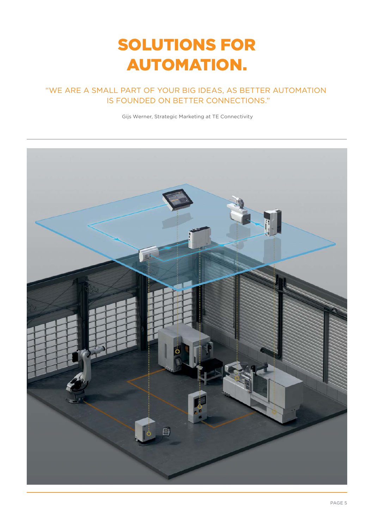## SOLUTIONS FOR AUTOMATION.

## "WE ARE A SMALL PART OF YOUR BIG IDEAS, AS BETTER AUTOMATION

Gijs Werner, Strategic Marketing at TE Connectivity

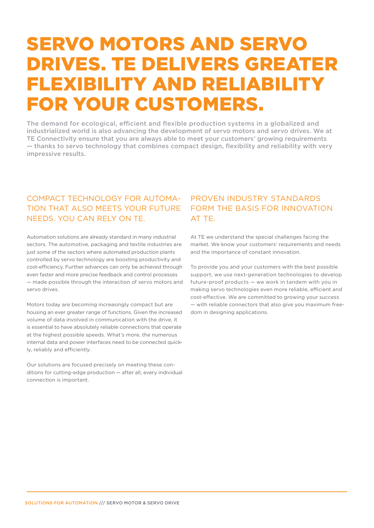## SERVO MOTORS AND SERVO DRIVES. TE DELIVERS GREATER FLEXIBILITY AND RELIABILITY FOR YOUR CUSTOMERS.

The demand for ecological, efficient and flexible production systems in a globalized and industrialized world is also advancing the development of servo motors and servo drives. We at TE Connectivity ensure that you are always able to meet your customers' growing requirements — thanks to servo technology that combines compact design, flexibility and reliability with very impressive results.

#### COMPACT TECHNOLOGY FOR AUTOMA-TION THAT ALSO MEETS YOUR FUTURE NEEDS. YOU CAN RELY ON TE.

Automation solutions are already standard in many industrial sectors. The automotive, packaging and textile industries are just some of the sectors where automated production plants controlled by servo technology are boosting productivity and cost-efficiency. Further advances can only be achieved through even faster and more precise feedback and control processes — made possible through the interaction of servo motors and servo drives.

Motors today are becoming increasingly compact but are housing an ever greater range of functions. Given the increased volume of data involved in communication with the drive, it is essential to have absolutely reliable connections that operate at the highest possible speeds. What's more, the numerous internal data and power interfaces need to be connected quickly, reliably and efficiently.

Our solutions are focused precisely on meeting these conditions for cutting-edge production — after all, every individual connection is important.

#### PROVEN INDUSTRY STANDARDS FORM THE BASIS FOR INNOVATION AT TE.

At TE we understand the special challenges facing the market. We know your customers' requirements and needs and the importance of constant innovation.

To provide you and your customers with the best possible support, we use next-generation technologies to develop future-proof products — we work in tandem with you in making servo technologies even more reliable, efficient and cost-effective. We are committed to growing your success — with reliable connectors that also give you maximum freedom in designing applications.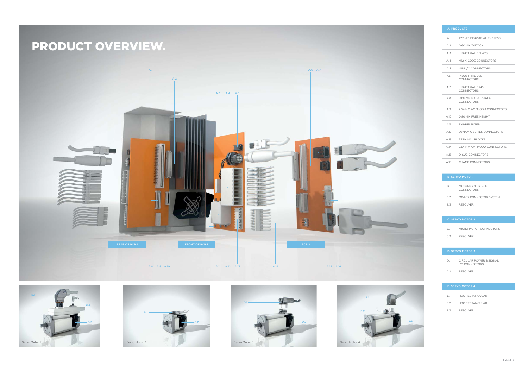

# PRODUCT OVERVIEW.





# E.3

| <b>A. PRODUCTS</b> |                                             |  |  |  |
|--------------------|---------------------------------------------|--|--|--|
| A.1                | 1.27 MM INDUSTRIAL EXPRESS                  |  |  |  |
| A.2                | 0.60 MM Z-STACK                             |  |  |  |
| A.3                | <b>INDUSTRIAL RELAYS</b>                    |  |  |  |
| A.4                | M12-X-CODE CONNECTORS                       |  |  |  |
| A.5                | MINI I/O CONNECTORS                         |  |  |  |
| A6                 | <b>INDUSTRIAL USB</b><br>CONNECTORS         |  |  |  |
| A.7                | <b>INDUSTRIAL RJ45</b><br><b>CONNECTORS</b> |  |  |  |
| A.8                | 0.60 MM MICRO-STACK<br><b>CONNECTORS</b>    |  |  |  |
| A.9                | 2.54 MM AMPMODU CONNECTORS                  |  |  |  |
| A.1O               | 0.80 MM FREE HEIGHT                         |  |  |  |
| A.11               | <b>EMI/RFI FILTER</b>                       |  |  |  |
| A.12               | DYNAMIC SERIES CONNECTORS                   |  |  |  |
| A.13               | <b>TERMINAL BLOCKS</b>                      |  |  |  |
| A 14               | 2.54 MM AMPMODU CONNECTORS                  |  |  |  |
| A.15               | <b>D-SUB CONNECTORS</b>                     |  |  |  |
| A.16               | CHAMP CONNECTORS                            |  |  |  |

#### B. SERVO MOTOR 1

| B <sub>1</sub> | MOTORMAN HYBRID<br>CONNECTORS |
|----------------|-------------------------------|
| B.2            | M8/M12 CONNECTOR SYSTEM       |
| <b>B3</b>      | RESOLVER                      |

#### C. SERVO MOTOR 2 C.1 MICRO MOTOR CONNECTORS C.2 RESOLVER

| D <sub>1</sub> | CIRCULAR POWER & SIGNAL<br>I/O CONNECTORS |
|----------------|-------------------------------------------|
| D 2            | <b>RESOLVER</b>                           |

| <b>E. SERVO MOTOR 4</b> |                        |  |  |  |  |
|-------------------------|------------------------|--|--|--|--|
| F <sub>1</sub>          | <b>HDC RECTANGULAR</b> |  |  |  |  |
| F <sub>2</sub>          | HDC RECTANGULAR        |  |  |  |  |
| F3                      | <b>RESOLVER</b>        |  |  |  |  |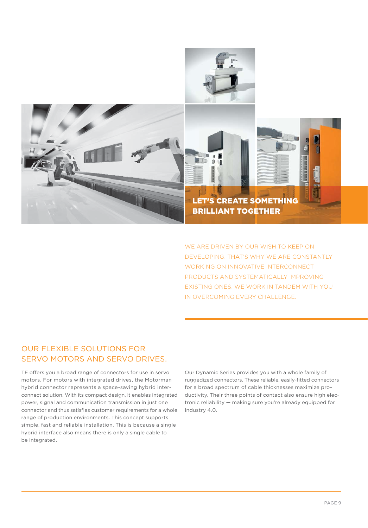

WE ARE DRIVEN BY OUR WISH TO KEEP ON DEVELOPING. THAT'S WHY WE ARE CONSTANTLY WORKING ON INNOVATIVE INTERCONNECT PRODUCTS AND SYSTEMATICALLY IMPROVING EXISTING ONES. WE WORK IN TANDEM WITH YOU IN OVERCOMING EVERY CHALLENGE.

#### OUR FLEXIBLE SOLUTIONS FOR SERVO MOTORS AND SERVO DRIVES.

TE offers you a broad range of connectors for use in servo motors. For motors with integrated drives, the Motorman hybrid connector represents a space-saving hybrid interconnect solution. With its compact design, it enables integrated power, signal and communication transmission in just one connector and thus satisfies customer requirements for a whole range of production environments. This concept supports simple, fast and reliable installation. This is because a single hybrid interface also means there is only a single cable to be integrated.

Our Dynamic Series provides you with a whole family of ruggedized connectors. These reliable, easily-fitted connectors for a broad spectrum of cable thicknesses maximize productivity. Their three points of contact also ensure high electronic reliability — making sure you're already equipped for Industry 4.0.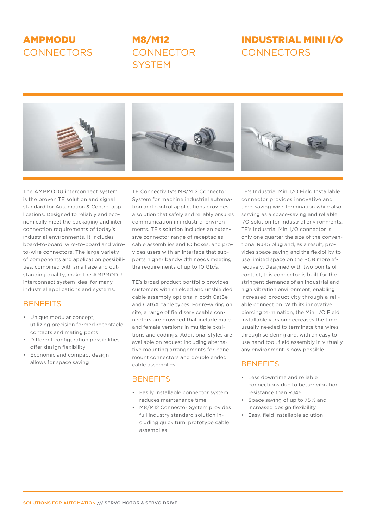### AMPMODU **CONNECTORS**

### M8/M12 **CONNECTOR SYSTEM**

## INDUSTRIAL MINI I/O **CONNECTORS**



The AMPMODU interconnect system is the proven TE solution and signal standard for Automation & Control applications. Designed to reliably and economically meet the packaging and interconnection requirements of today's industrial environments. It includes board-to-board, wire-to-board and wireto-wire connectors. The large variety of components and application possibilities, combined with small size and outstanding quality, make the AMPMODU interconnect system ideal for many industrial applications and systems.

#### **BENEFITS**

- Unique modular concept, utilizing precision formed receptacle contacts and mating posts
- Different configuration possibilities offer design flexibility
- Economic and compact design allows for space saving

TE Connectivity's M8/M12 Connector System for machine industrial automation and control applications provides a solution that safely and reliably ensures communication in industrial environments. TE's solution includes an extensive connector range of receptacles, cable assemblies and IO boxes, and provides users with an interface that supports higher bandwidth needs meeting the requirements of up to 10 Gb/s.

TE's broad product portfolio provides customers with shielded and unshielded cable assembly options in both Cat5e and Cat6A cable types. For re-wiring on site, a range of field serviceable connectors are provided that include male and female versions in multiple positions and codings. Additional styles are available on request including alternative mounting arrangements for panel mount connectors and double ended cable assemblies.

#### **BENEFITS**

- Easily installable connector system reduces maintenance time
- M8/M12 Connector System provides full industry standard solution including quick turn, prototype cable assemblies

TE's Industrial Mini I/O Field Installable connector provides innovative and time-saving wire-termination while also serving as a space-saving and reliable I/O solution for industrial environments. TE's Industrial Mini I/O connector is only one quarter the size of the conventional RJ45 plug and, as a result, provides space saving and the flexibility to use limited space on the PCB more effectively. Designed with two points of contact, this connector is built for the stringent demands of an industrial and high vibration environment, enabling increased productivity through a reliable connection. With its innovative piercing termination, the Mini I/O Field Installable version decreases the time usually needed to terminate the wires through soldering and, with an easy to use hand tool, field assembly in virtually any environment is now possible.

#### **BENEFITS**

- Less downtime and reliable connections due to better vibration resistance than RJ45
- Space saving of up to 75% and increased design flexibility
- Easy, field installable solution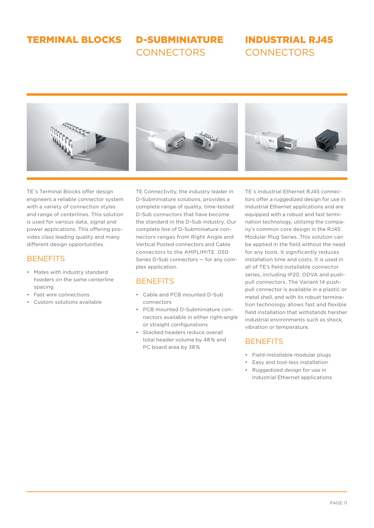#### TERMINAL BLOCKS

D-SUBMINIATURE **CONNECTORS** 

#### INDUSTRIAL RJ45 **CONNECTORS**



TE's Terminal Blocks offer design engineers a reliable connector system with a variety of connection styles and range of centerlines. This solution is used for various data, signal and power applications. This offering provides class leading quality and many different design opportunities.

#### **BENEFITS**

- Mates with industry standard headers on the same centerline spacing
- Fast wire connections
- Custom solutions available

TE Connectivity, the industry leader in D-Subminiature solutions, provides a complete range of quality, time-tested D-Sub connectors that have become the standard in the D-Sub industry. Our complete line of D-Subminiature connectors ranges from Right Angle and Vertical Posted connectors and Cable connectors to the AMPLIMITE .050 Series D-Sub connectors — for any complex application.

#### **BENEFITS**

- Cable and PCB mounted D-Sub connectors
- PCB mounted D-Subminiature connectors available in either right-angle or straight configurations
- Stacked headers reduce overall total header volume by 48% and PC board area by 38%

TE´s Industrial Ethernet RJ45 connectors offer a ruggedized design for use in Industrial Ethernet applications and are equipped with a robust and fast termination technology, utilizing the company's common core design in the RJ45 Modular Plug Series. This solution can be applied in the field without the need for any tools. It significantly reduces installation time and costs. It is used in all of TE's field installable connector series, including IP20, ODVA and pushpull connectors. The Variant 14 pushpull connector is available in a plastic or metal shell, and with its robust termination technology allows fast and flexible field installation that withstands harsher industrial environments such as shock, vibration or temperature.

#### **BENEFITS**

- Field-installable modular plugs
- Easy and tool-less installation
- Ruggedized design for use in Industrial Ethernet applications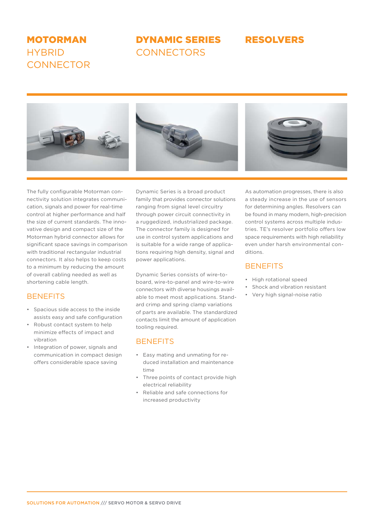#### MOTORMAN **HYRRID CONNECTOR**

## DYNAMIC SERIES RESOLVERS

#### **CONNECTORS**



The fully configurable Motorman connectivity solution integrates communication, signals and power for real-time control at higher performance and half the size of current standards. The innovative design and compact size of the Motorman hybrid connector allows for significant space savings in comparison with traditional rectangular industrial connectors. It also helps to keep costs to a minimum by reducing the amount of overall cabling needed as well as shortening cable length.

#### **BENEFITS**

- Spacious side access to the inside assists easy and safe configuration
- Robust contact system to help minimize effects of impact and vibration
- Integration of power, signals and communication in compact design offers considerable space saving

Dynamic Series is a broad product family that provides connector solutions ranging from signal level circuitry through power circuit connectivity in a ruggedized, industrialized package. The connector family is designed for use in control system applications and is suitable for a wide range of applications requiring high density, signal and power applications.

Dynamic Series consists of wire-toboard, wire-to-panel and wire-to-wire connectors with diverse housings available to meet most applications. Standard crimp and spring clamp variations of parts are available. The standardized contacts limit the amount of application tooling required.

#### **BENEFITS**

- Easy mating and unmating for reduced installation and maintenance time
- Three points of contact provide high electrical reliability
- Reliable and safe connections for increased productivity

As automation progresses, there is also a steady increase in the use of sensors for determining angles. Resolvers can be found in many modern, high-precision control systems across multiple industries. TE's resolver portfolio offers low space requirements with high reliability even under harsh environmental conditions.

#### **BENEFITS**

- High rotational speed
- Shock and vibration resistant
- Very high signal-noise ratio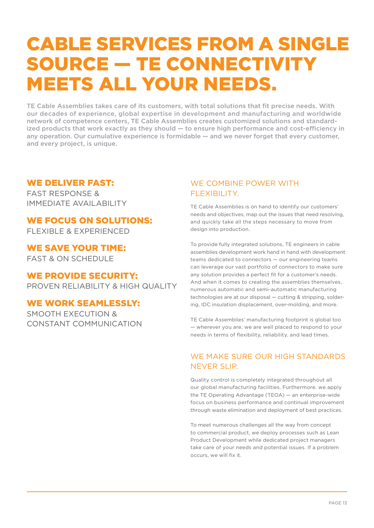## CABLE SERVICES FROM A SINGLE SOURCE — TE CONNECTIVITY MEETS ALL YOUR NEEDS.

TE Cable Assemblies takes care of its customers, with total solutions that fit precise needs. With our decades of experience, global expertise in development and manufacturing and worldwide network of competence centers, TE Cable Assemblies creates customized solutions and standardized products that work exactly as they should — to ensure high performance and cost-efficiency in any operation. Our cumulative experience is formidable — and we never forget that every customer, and every project, is unique.

#### WE DELIVER FAST:

FAST RESPONSE & IMMEDIATE AVAILABILITY

## WE FOCUS ON SOLUTIONS:

FLEXIBLE & EXPERIENCED

WE SAVE YOUR TIME: FAST & ON SCHEDULE

#### WE PROVIDE SECURITY:

PROVEN RELIABILITY & HIGH QUALITY

#### WE WORK SEAMLESSLY:

SMOOTH EXECUTION & CONSTANT COMMUNICATION

#### WE COMBINE POWER WITH FLEXIBILITY.

TE Cable Assemblies is on hand to identify our customers' needs and objectives, map out the issues that need resolving, and quickly take all the steps necessary to move from design into production.

To provide fully integrated solutions, TE engineers in cable assemblies development work hand in hand with development teams dedicated to connectors — our engineering teams can leverage our vast portfolio of connectors to make sure any solution provides a perfect fit for a customer's needs. And when it comes to creating the assemblies themselves, numerous automatic and semi-automatic manufacturing technologies are at our disposal — cutting & stripping, soldering, IDC insulation displacement, over-molding, and more.

TE Cable Assemblies' manufacturing footprint is global too — wherever you are, we are well placed to respond to your needs in terms of flexibility, reliability, and lead times.

#### WE MAKE SURE OUR HIGH STANDARDS NEVER SLIP.

Quality control is completely integrated throughout all our global manufacturing facilities. Furthermore. we apply the TE Operating Advantage (TEOA) — an enterprise-wide focus on business performance and continual improvement through waste elimination and deployment of best practices.

To meet numerous challenges all the way from concept to commercial product, we deploy processes such as Lean Product Development while dedicated project managers take care of your needs and potential issues. If a problem occurs, we will fix it.